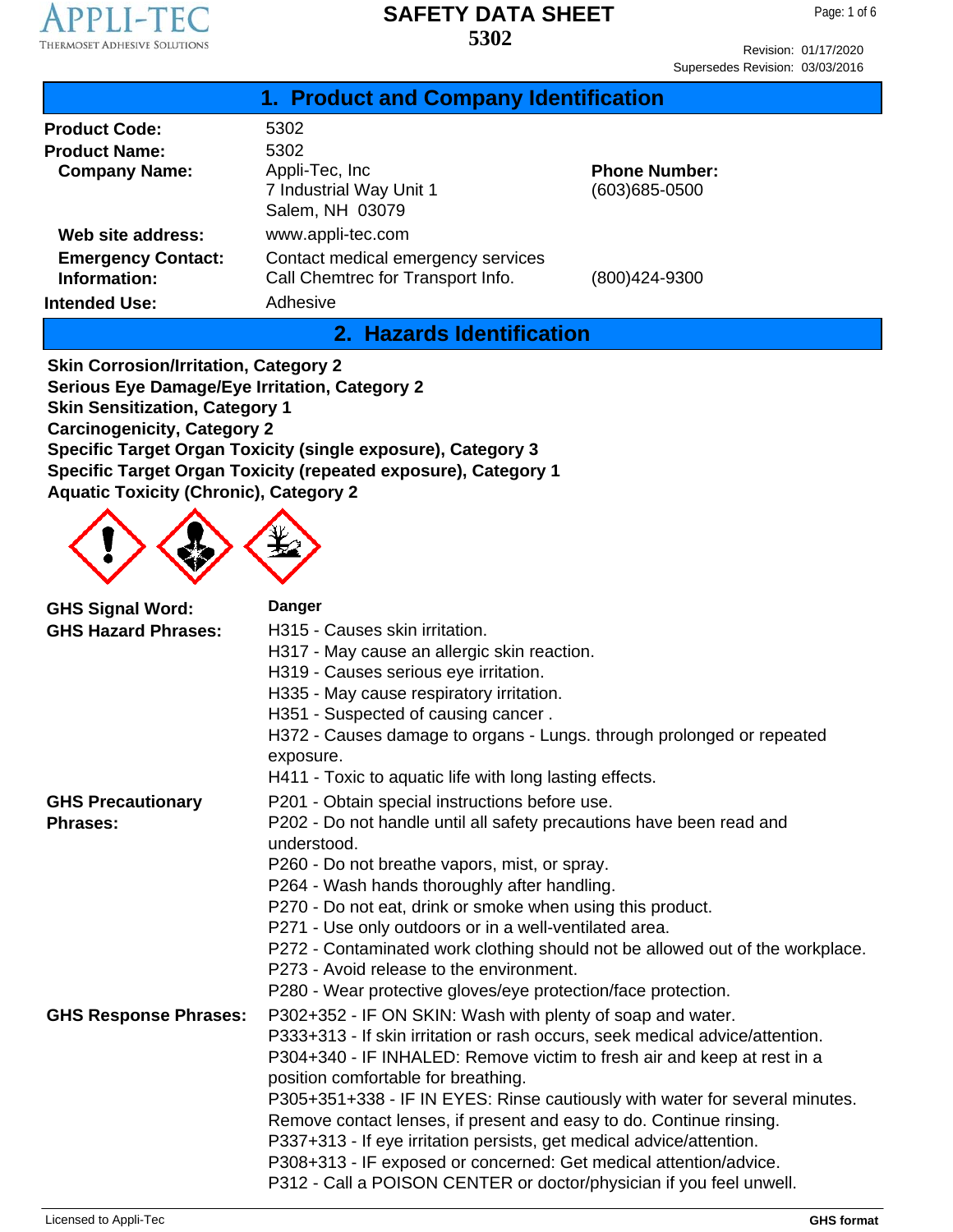

Page: 1 of 6

Revision: 01/17/2020 Supersedes Revision: 03/03/2016

|                                           | 1. Product and Company Identification                                   |                                       |
|-------------------------------------------|-------------------------------------------------------------------------|---------------------------------------|
| <b>Product Code:</b>                      | 5302                                                                    |                                       |
| <b>Product Name:</b>                      | 5302                                                                    |                                       |
| <b>Company Name:</b>                      | Appli-Tec, Inc.<br>7 Industrial Way Unit 1<br>Salem, NH 03079           | <b>Phone Number:</b><br>(603)685-0500 |
| Web site address:                         | www.appli-tec.com                                                       |                                       |
| <b>Emergency Contact:</b><br>Information: | Contact medical emergency services<br>Call Chemtrec for Transport Info. | (800)424-9300                         |
| <b>Intended Use:</b>                      | Adhesive                                                                |                                       |

## **2. Hazards Identification**

**Skin Corrosion/Irritation, Category 2 Serious Eye Damage/Eye Irritation, Category 2 Skin Sensitization, Category 1 Carcinogenicity, Category 2 Specific Target Organ Toxicity (single exposure), Category 3 Specific Target Organ Toxicity (repeated exposure), Category 1 Aquatic Toxicity (Chronic), Category 2**



| <b>GHS Signal Word:</b>      | <b>Danger</b>                                                                                                             |
|------------------------------|---------------------------------------------------------------------------------------------------------------------------|
| <b>GHS Hazard Phrases:</b>   | H315 - Causes skin irritation.                                                                                            |
|                              | H317 - May cause an allergic skin reaction.                                                                               |
|                              | H319 - Causes serious eye irritation.                                                                                     |
|                              | H335 - May cause respiratory irritation.                                                                                  |
|                              | H351 - Suspected of causing cancer.                                                                                       |
|                              | H372 - Causes damage to organs - Lungs. through prolonged or repeated                                                     |
|                              | exposure.                                                                                                                 |
|                              | H411 - Toxic to aquatic life with long lasting effects.                                                                   |
| <b>GHS Precautionary</b>     | P201 - Obtain special instructions before use.                                                                            |
| <b>Phrases:</b>              | P202 - Do not handle until all safety precautions have been read and<br>understood.                                       |
|                              | P260 - Do not breathe vapors, mist, or spray.                                                                             |
|                              | P264 - Wash hands thoroughly after handling.                                                                              |
|                              | P270 - Do not eat, drink or smoke when using this product.                                                                |
|                              | P271 - Use only outdoors or in a well-ventilated area.                                                                    |
|                              | P272 - Contaminated work clothing should not be allowed out of the workplace.<br>P273 - Avoid release to the environment. |
|                              | P280 - Wear protective gloves/eye protection/face protection.                                                             |
| <b>GHS Response Phrases:</b> | P302+352 - IF ON SKIN: Wash with plenty of soap and water.                                                                |
|                              | P333+313 - If skin irritation or rash occurs, seek medical advice/attention.                                              |
|                              | P304+340 - IF INHALED: Remove victim to fresh air and keep at rest in a                                                   |
|                              | position comfortable for breathing.                                                                                       |
|                              | P305+351+338 - IF IN EYES: Rinse cautiously with water for several minutes.                                               |
|                              | Remove contact lenses, if present and easy to do. Continue rinsing.                                                       |
|                              | P337+313 - If eye irritation persists, get medical advice/attention.                                                      |
|                              | P308+313 - IF exposed or concerned: Get medical attention/advice.                                                         |
|                              | P312 - Call a POISON CENTER or doctor/physician if you feel unwell.                                                       |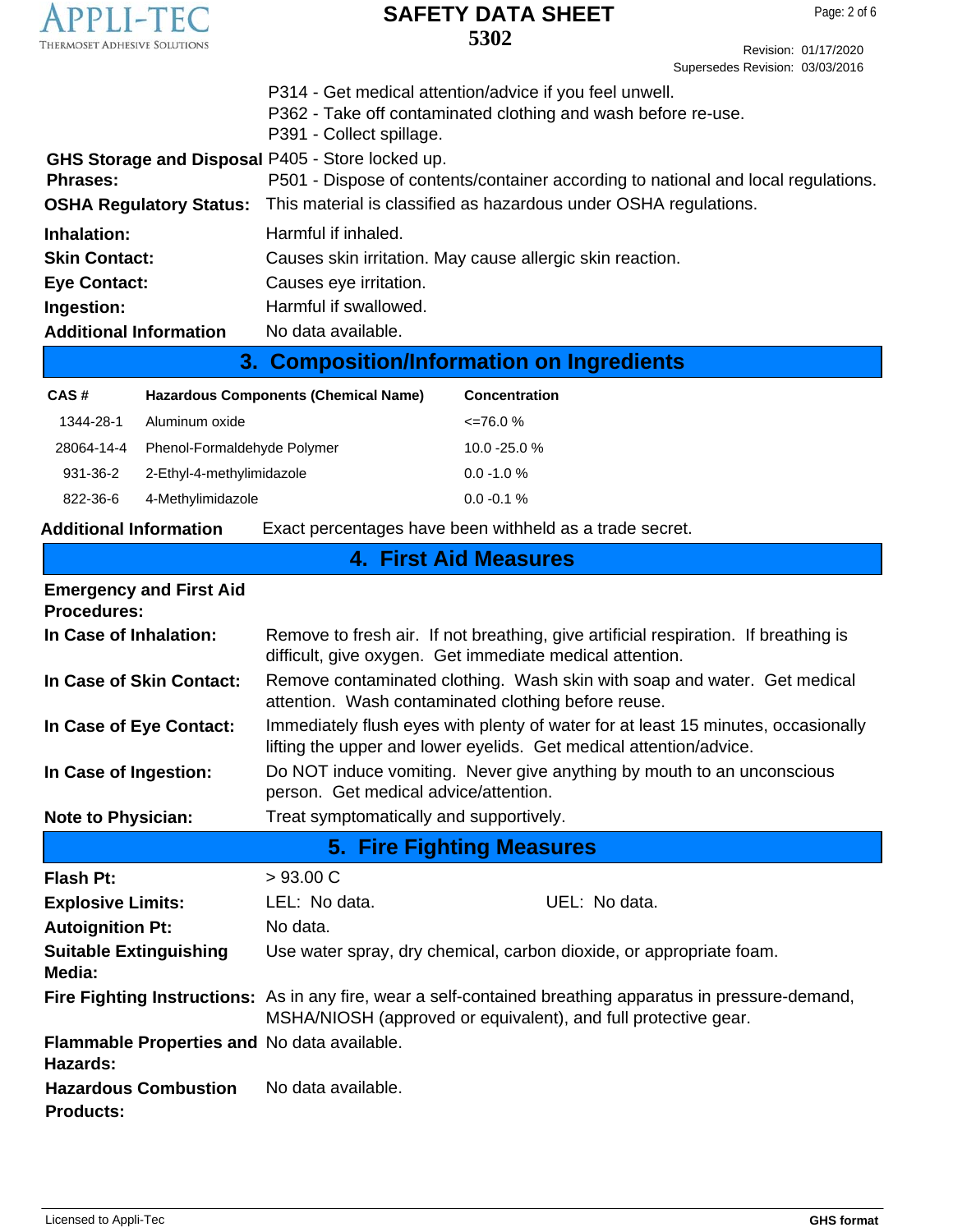

Revision: 01/17/2020 Supersedes Revision: 03/03/2016

|                                                  | An announced the office the contract of the contract of the set of a                            |
|--------------------------------------------------|-------------------------------------------------------------------------------------------------|
| <b>Additional Information</b>                    | No data available.                                                                              |
| Ingestion:                                       | Harmful if swallowed.                                                                           |
| <b>Eye Contact:</b>                              | Causes eye irritation.                                                                          |
| <b>Skin Contact:</b>                             | Causes skin irritation. May cause allergic skin reaction.                                       |
| Inhalation:                                      | Harmful if inhaled.                                                                             |
|                                                  | <b>OSHA Regulatory Status:</b> This material is classified as hazardous under OSHA regulations. |
| <b>Phrases:</b>                                  | P501 - Dispose of contents/container according to national and local regulations.               |
| GHS Storage and Disposal P405 - Store locked up. |                                                                                                 |
|                                                  | P391 - Collect spillage.                                                                        |
|                                                  | P362 - Take off contaminated clothing and wash before re-use.                                   |
|                                                  | P314 - Get medical attention/advice if you feel unwell.                                         |

# **3. Composition/Information on Ingredients**

| CAS#       | <b>Hazardous Components (Chemical Name)</b> | <b>Concentration</b> |
|------------|---------------------------------------------|----------------------|
| 1344-28-1  | Aluminum oxide                              | $\leq$ 76.0 %        |
| 28064-14-4 | Phenol-Formaldehyde Polymer                 | $10.0 - 25.0 %$      |
| 931-36-2   | 2-Ethyl-4-methylimidazole                   | $0.0 - 1.0 %$        |
| 822-36-6   | 4-Methylimidazole                           | $0.0 - 0.1 %$        |

### **Additional Information** Exact percentages have been withheld as a trade secret.

# **4. First Aid Measures**

| <b>Emergency and First Aid</b><br><b>Procedures:</b>    |                                                                                                                                                                             |  |  |
|---------------------------------------------------------|-----------------------------------------------------------------------------------------------------------------------------------------------------------------------------|--|--|
| In Case of Inhalation:                                  | Remove to fresh air. If not breathing, give artificial respiration. If breathing is<br>difficult, give oxygen. Get immediate medical attention.                             |  |  |
| In Case of Skin Contact:                                | Remove contaminated clothing. Wash skin with soap and water. Get medical<br>attention. Wash contaminated clothing before reuse.                                             |  |  |
| In Case of Eye Contact:                                 | Immediately flush eyes with plenty of water for at least 15 minutes, occasionally<br>lifting the upper and lower eyelids. Get medical attention/advice.                     |  |  |
| In Case of Ingestion:                                   | Do NOT induce vomiting. Never give anything by mouth to an unconscious<br>person. Get medical advice/attention.                                                             |  |  |
| <b>Note to Physician:</b>                               | Treat symptomatically and supportively.                                                                                                                                     |  |  |
| 5. Fire Fighting Measures                               |                                                                                                                                                                             |  |  |
| <b>Flash Pt:</b>                                        | $>93.00 \text{ C}$                                                                                                                                                          |  |  |
| <b>Explosive Limits:</b>                                | LEL: No data.<br>UEL: No data.                                                                                                                                              |  |  |
| <b>Autoignition Pt:</b>                                 | No data.                                                                                                                                                                    |  |  |
| <b>Suitable Extinguishing</b><br>Media:                 | Use water spray, dry chemical, carbon dioxide, or appropriate foam.                                                                                                         |  |  |
|                                                         | Fire Fighting Instructions: As in any fire, wear a self-contained breathing apparatus in pressure-demand,<br>MSHA/NIOSH (approved or equivalent), and full protective gear. |  |  |
| Flammable Properties and No data available.<br>Hazards: |                                                                                                                                                                             |  |  |
| <b>Hazardous Combustion</b><br><b>Products:</b>         | No data available.                                                                                                                                                          |  |  |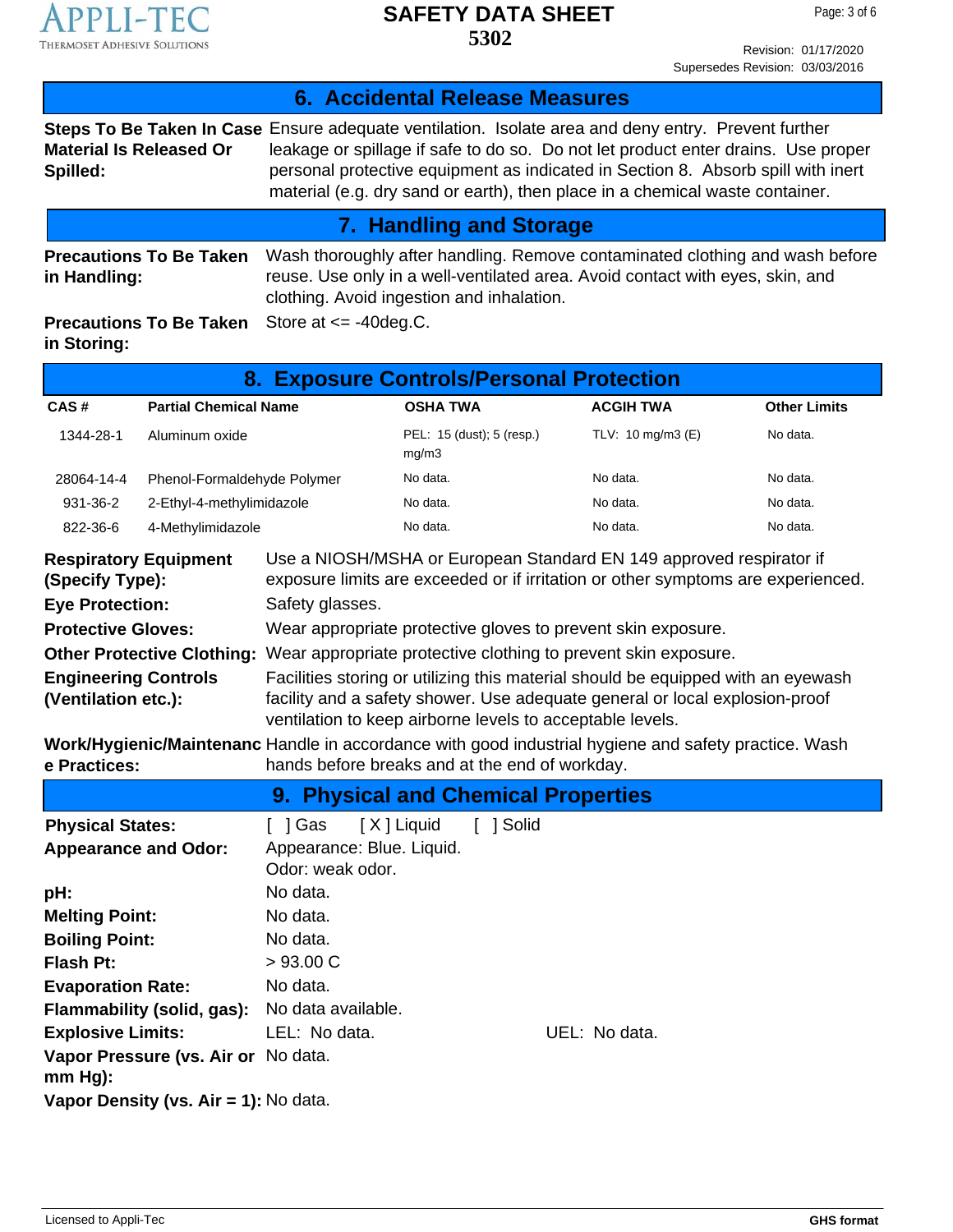

Revision: 01/17/2020 Supersedes Revision: 03/03/2016

|                                                    |                                                                  |                                                                | <b>6. Accidental Release Measures</b>                     |                                                                                                                                                                                                                                                                                                                                                              |                     |
|----------------------------------------------------|------------------------------------------------------------------|----------------------------------------------------------------|-----------------------------------------------------------|--------------------------------------------------------------------------------------------------------------------------------------------------------------------------------------------------------------------------------------------------------------------------------------------------------------------------------------------------------------|---------------------|
| Spilled:                                           | <b>Material Is Released Or</b>                                   |                                                                |                                                           | Steps To Be Taken In Case Ensure adequate ventilation. Isolate area and deny entry. Prevent further<br>leakage or spillage if safe to do so. Do not let product enter drains. Use proper<br>personal protective equipment as indicated in Section 8. Absorb spill with inert<br>material (e.g. dry sand or earth), then place in a chemical waste container. |                     |
|                                                    |                                                                  |                                                                | <b>7. Handling and Storage</b>                            |                                                                                                                                                                                                                                                                                                                                                              |                     |
| in Handling:                                       | <b>Precautions To Be Taken</b><br><b>Precautions To Be Taken</b> | Store at $\le$ -40 deg.C.                                      | clothing. Avoid ingestion and inhalation.                 | Wash thoroughly after handling. Remove contaminated clothing and wash before<br>reuse. Use only in a well-ventilated area. Avoid contact with eyes, skin, and                                                                                                                                                                                                |                     |
| in Storing:                                        |                                                                  |                                                                |                                                           |                                                                                                                                                                                                                                                                                                                                                              |                     |
|                                                    |                                                                  |                                                                | 8. Exposure Controls/Personal Protection                  |                                                                                                                                                                                                                                                                                                                                                              |                     |
| CAS#                                               | <b>Partial Chemical Name</b>                                     |                                                                | <b>OSHA TWA</b>                                           | <b>ACGIH TWA</b>                                                                                                                                                                                                                                                                                                                                             | <b>Other Limits</b> |
| 1344-28-1                                          | Aluminum oxide                                                   |                                                                | PEL: 15 (dust); 5 (resp.)<br>mg/m3                        | TLV: 10 mg/m3 (E)                                                                                                                                                                                                                                                                                                                                            | No data.            |
| 28064-14-4                                         | Phenol-Formaldehyde Polymer                                      |                                                                | No data.                                                  | No data.                                                                                                                                                                                                                                                                                                                                                     | No data.            |
| 931-36-2                                           | 2-Ethyl-4-methylimidazole                                        |                                                                | No data.                                                  | No data.                                                                                                                                                                                                                                                                                                                                                     | No data.            |
| 822-36-6                                           | 4-Methylimidazole                                                |                                                                | No data.                                                  | No data.                                                                                                                                                                                                                                                                                                                                                     | No data.            |
| (Specify Type):<br><b>Eye Protection:</b>          | <b>Respiratory Equipment</b>                                     | Safety glasses.                                                |                                                           | Use a NIOSH/MSHA or European Standard EN 149 approved respirator if<br>exposure limits are exceeded or if irritation or other symptoms are experienced.                                                                                                                                                                                                      |                     |
| <b>Protective Gloves:</b>                          |                                                                  |                                                                |                                                           | Wear appropriate protective gloves to prevent skin exposure.                                                                                                                                                                                                                                                                                                 |                     |
|                                                    | <b>Other Protective Clothing:</b>                                | Wear appropriate protective clothing to prevent skin exposure. |                                                           |                                                                                                                                                                                                                                                                                                                                                              |                     |
| <b>Engineering Controls</b><br>(Ventilation etc.): |                                                                  |                                                                | ventilation to keep airborne levels to acceptable levels. | Facilities storing or utilizing this material should be equipped with an eyewash<br>facility and a safety shower. Use adequate general or local explosion-proof                                                                                                                                                                                              |                     |
| e Practices:                                       |                                                                  |                                                                | hands before breaks and at the end of workday.            | Work/Hygienic/Maintenanc Handle in accordance with good industrial hygiene and safety practice. Wash                                                                                                                                                                                                                                                         |                     |
|                                                    |                                                                  |                                                                | 9. Physical and Chemical Properties                       |                                                                                                                                                                                                                                                                                                                                                              |                     |
| <b>Physical States:</b>                            |                                                                  | $[$ ] Gas                                                      | [X] Liquid<br>[ ] Solid                                   |                                                                                                                                                                                                                                                                                                                                                              |                     |
| <b>Appearance and Odor:</b>                        |                                                                  | Appearance: Blue. Liquid.<br>Odor: weak odor.                  |                                                           |                                                                                                                                                                                                                                                                                                                                                              |                     |
| pH:                                                |                                                                  | No data.                                                       |                                                           |                                                                                                                                                                                                                                                                                                                                                              |                     |
| <b>Melting Point:</b>                              |                                                                  | No data.                                                       |                                                           |                                                                                                                                                                                                                                                                                                                                                              |                     |
| <b>Boiling Point:</b>                              |                                                                  | No data.                                                       |                                                           |                                                                                                                                                                                                                                                                                                                                                              |                     |
| <b>Flash Pt:</b>                                   |                                                                  | >93.00 C                                                       |                                                           |                                                                                                                                                                                                                                                                                                                                                              |                     |
| <b>Evaporation Rate:</b>                           |                                                                  | No data.                                                       |                                                           |                                                                                                                                                                                                                                                                                                                                                              |                     |
|                                                    | Flammability (solid, gas):                                       | No data available.                                             |                                                           |                                                                                                                                                                                                                                                                                                                                                              |                     |
| <b>Explosive Limits:</b><br>$mm Hg$ ):             | Vapor Pressure (vs. Air or No data.                              | LEL: No data.                                                  |                                                           | UEL: No data.                                                                                                                                                                                                                                                                                                                                                |                     |
|                                                    | Vapor Density (vs. Air = 1): No data.                            |                                                                |                                                           |                                                                                                                                                                                                                                                                                                                                                              |                     |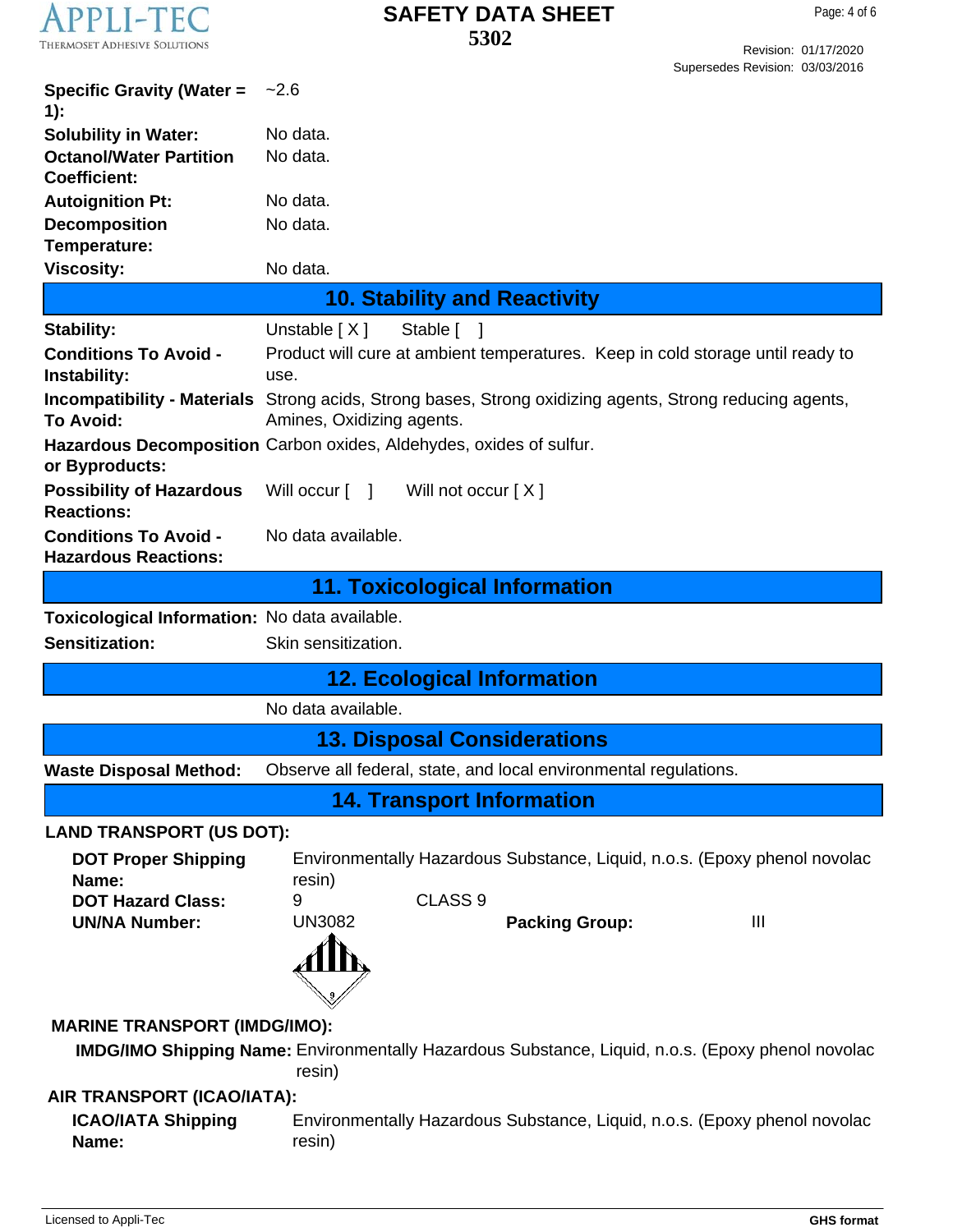

Revision: 01/17/2020 Supersedes Revision: 03/03/2016

| <b>Specific Gravity (Water =</b><br>$1)$ :                  | $-2.6$                                                                                                             |
|-------------------------------------------------------------|--------------------------------------------------------------------------------------------------------------------|
| <b>Solubility in Water:</b>                                 | No data.                                                                                                           |
| <b>Octanol/Water Partition</b><br><b>Coefficient:</b>       | No data.                                                                                                           |
| <b>Autoignition Pt:</b>                                     | No data.                                                                                                           |
| <b>Decomposition</b>                                        | No data.                                                                                                           |
| Temperature:                                                |                                                                                                                    |
| <b>Viscosity:</b>                                           | No data.                                                                                                           |
|                                                             | <b>10. Stability and Reactivity</b>                                                                                |
| <b>Stability:</b>                                           | Unstable $[X]$<br>Stable [ ]                                                                                       |
| <b>Conditions To Avoid -</b><br>Instability:                | Product will cure at ambient temperatures. Keep in cold storage until ready to<br>use.                             |
| <b>Incompatibility - Materials</b><br><b>To Avoid:</b>      | Strong acids, Strong bases, Strong oxidizing agents, Strong reducing agents,<br>Amines, Oxidizing agents.          |
| or Byproducts:                                              | Hazardous Decomposition Carbon oxides, Aldehydes, oxides of sulfur.                                                |
| <b>Possibility of Hazardous</b><br><b>Reactions:</b>        | Will occur [ ]<br>Will not occur $[X]$                                                                             |
| <b>Conditions To Avoid -</b><br><b>Hazardous Reactions:</b> | No data available.                                                                                                 |
|                                                             | <b>11. Toxicological Information</b>                                                                               |
| Toxicological Information: No data available.               |                                                                                                                    |
| <b>Sensitization:</b>                                       | Skin sensitization.                                                                                                |
|                                                             | <b>12. Ecological Information</b>                                                                                  |
|                                                             | No data available.                                                                                                 |
|                                                             | <b>13. Disposal Considerations</b>                                                                                 |
| <b>Waste Disposal Method:</b>                               | Observe all federal, state, and local environmental regulations.                                                   |
|                                                             | <b>14. Transport Information</b>                                                                                   |
| <b>LAND TRANSPORT (US DOT):</b>                             |                                                                                                                    |
| <b>DOT Proper Shipping</b>                                  | Environmentally Hazardous Substance, Liquid, n.o.s. (Epoxy phenol novolac                                          |
| Name:                                                       | resin)                                                                                                             |
| <b>DOT Hazard Class:</b>                                    | CLASS <sub>9</sub><br>9                                                                                            |
| <b>UN/NA Number:</b>                                        | <b>UN3082</b><br><b>Packing Group:</b><br>Ш                                                                        |
|                                                             |                                                                                                                    |
| <b>MARINE TRANSPORT (IMDG/IMO):</b>                         |                                                                                                                    |
|                                                             | <b>IMDG/IMO Shipping Name:</b> Environmentally Hazardous Substance, Liquid, n.o.s. (Epoxy phenol novolac<br>resin) |
| AIR TRANSPORT (ICAO/IATA):                                  |                                                                                                                    |
| <b>ICAO/IATA Shipping</b>                                   |                                                                                                                    |
| Name:                                                       | Environmentally Hazardous Substance, Liquid, n.o.s. (Epoxy phenol novolac<br>resin)                                |